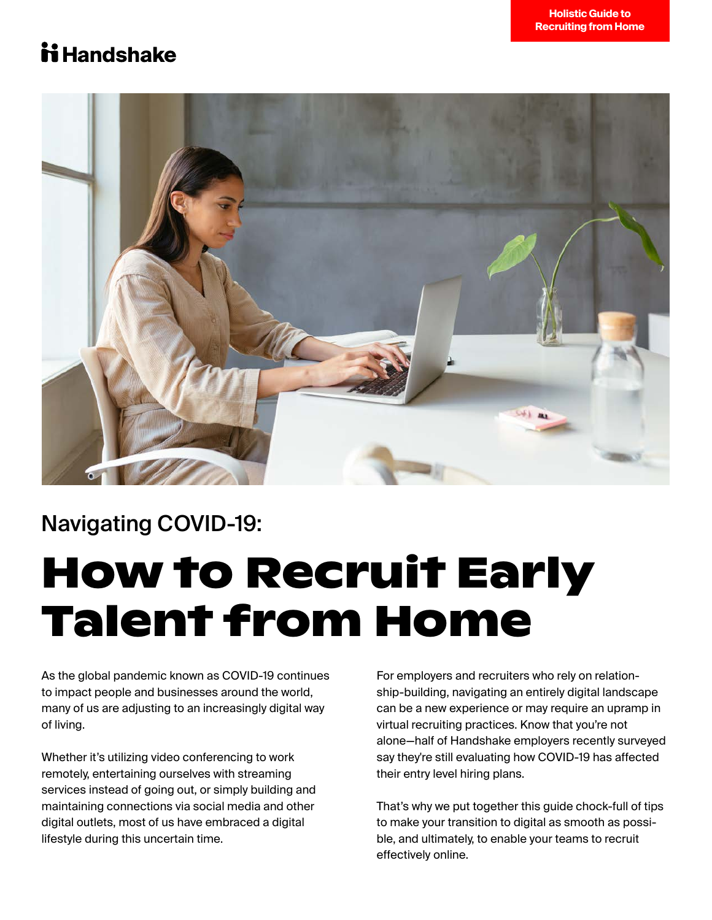

### Navigating COVID-19:

# **How to Recruit Early Talent from Home**

As the global pandemic known as COVID-19 continues to impact people and businesses around the world, many of us are adjusting to an increasingly digital way of living.

Whether it's utilizing video conferencing to work remotely, entertaining ourselves with streaming services instead of going out, or simply building and maintaining connections via social media and other digital outlets, most of us have embraced a digital lifestyle during this uncertain time.

For employers and recruiters who rely on relationship-building, navigating an entirely digital landscape can be a new experience or may require an upramp in virtual recruiting practices. Know that you're not alone—half of Handshake employers recently surveyed say they're still evaluating how COVID-19 has affected their entry level hiring plans.

That's why we put together this guide chock-full of tips to make your transition to digital as smooth as possible, and ultimately, to enable your teams to recruit effectively online.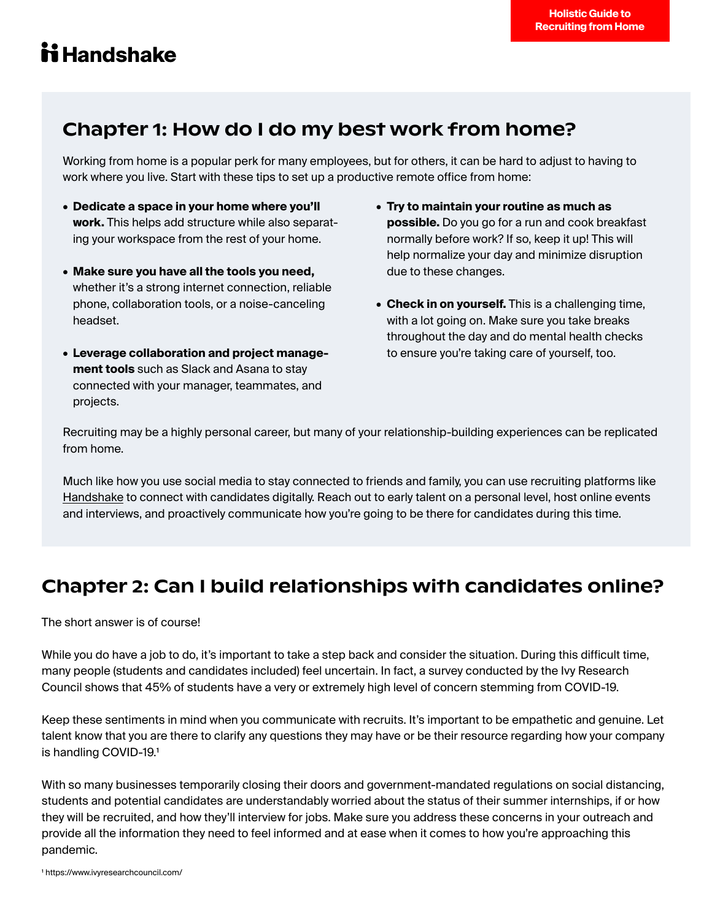### Chapter 1: How do I do my best work from home?

Working from home is a popular perk for many employees, but for others, it can be hard to adjust to having to work where you live. Start with these tips to set up a productive remote office from home:

- **Dedicate a space in your home where you'll work.** This helps add structure while also separating your workspace from the rest of your home.
- **Make sure you have all the tools you need,** whether it's a strong internet connection, reliable phone, collaboration tools, or a noise-canceling headset.
- **Leverage collaboration and project manage- ment tools** such as Slack and Asana to stay connected with your manager, teammates, and projects.
- **Try to maintain your routine as much as possible.** Do you go for a run and cook breakfast normally before work? If so, keep it up! This will help normalize your day and minimize disruption due to these changes.
- **Check in on yourself.** This is a challenging time, with a lot going on. Make sure you take breaks throughout the day and do mental health checks to ensure you're taking care of yourself, too.

Recruiting may be a highly personal career, but many of your relationship-building experiences can be replicated from home.

Much like how you use social media to stay connected to friends and family, you can use recruiting platforms like [Handshake](https://www.joinhandshake.com/) to connect with candidates digitally. Reach out to early talent on a personal level, host online events and interviews, and proactively communicate how you're going to be there for candidates during this time.

### Chapter 2: Can I build relationships with candidates online?

The short answer is of course!

While you do have a job to do, it's important to take a step back and consider the situation. During this difficult time, many people (students and candidates included) feel uncertain. In fact, a survey conducted by the Ivy Research Council shows that 45% of students have a very or extremely high level of concern stemming from COVID-19.

Keep these sentiments in mind when you communicate with recruits. It's important to be empathetic and genuine. Let talent know that you are there to clarify any questions they may have or be their resource regarding how your company is handling COVID-19.1

With so many businesses temporarily closing their doors and government-mandated regulations on social distancing, students and potential candidates are understandably worried about the status of their summer internships, if or how they will be recruited, and how they'll interview for jobs. Make sure you address these concerns in your outreach and provide all the information they need to feel informed and at ease when it comes to how you're approaching this pandemic.

1 https://www.ivyresearchcouncil.com/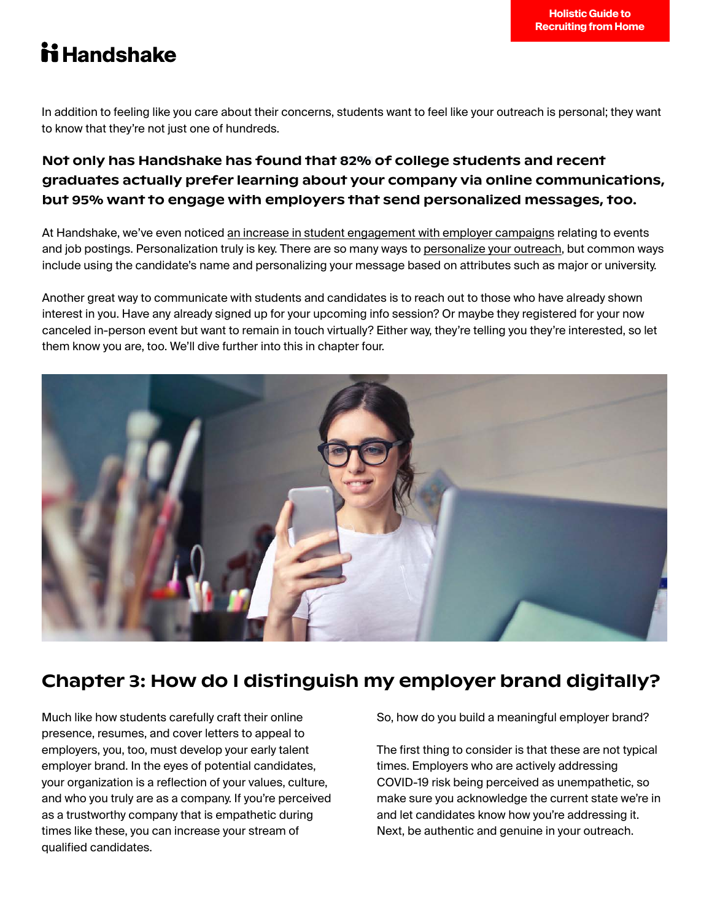In addition to feeling like you care about their concerns, students want to feel like your outreach is personal; they want to know that they're not just one of hundreds.

#### Not only has Handshake has found that 82% of college students and recent graduates actually prefer learning about your company via online communications, but 95% want to engage with employers that send personalized messages, too.

At Handshake, we've even noticed an [increase in student engagement with employer campaigns](https://go.joinhandshake.com/rs/390-ZTF-353/images/EarlyTalentEarlyInsights_Infographic.pdf) relating to events and job postings. Personalization truly is key. There are so many ways t[o personalize your outreach,](https://learn.joinhandshake.com/employers/how-to-write-a-recruiting-message-to-students-plus-examples/) but common ways include using the candidate's name and personalizing your message based on attributes such as major or university.

Another great way to communicate with students and candidates is to reach out to those who have already shown interest in you. Have any already signed up for your upcoming info session? Or maybe they registered for your now canceled in-person event but want to remain in touch virtually? Either way, they're telling you they're interested, so let them know you are, too. We'll dive further into this in chapter four.



### Chapter 3: How do I distinguish my employer brand digitally?

Much like how students carefully craft their online presence, resumes, and cover letters to appeal to employers, you, too, must develop your early talent employer brand. In the eyes of potential candidates, your organization is a reflection of your values, culture, and who you truly are as a company. If you're perceived as a trustworthy company that is empathetic during times like these, you can increase your stream of qualified candidates.

So, how do you build a meaningful employer brand?

The first thing to consider is that these are not typical times. Employers who are actively addressing COVID-19 risk being perceived as unempathetic, so make sure you acknowledge the current state we're in and let candidates know how you're addressing it. Next, be authentic and genuine in your outreach.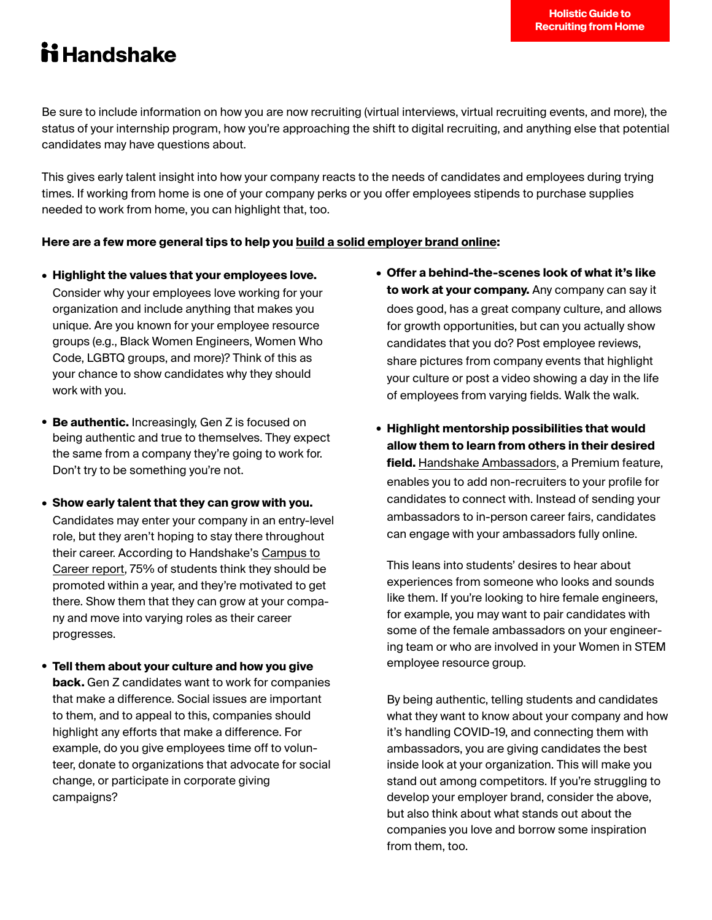Be sure to include information on how you are now recruiting (virtual interviews, virtual recruiting events, and more), the status of your internship program, how you're approaching the shift to digital recruiting, and anything else that potential candidates may have questions about.

This gives early talent insight into how your company reacts to the needs of candidates and employees during trying times. If working from home is one of your company perks or you offer employees stipends to purchase supplies needed to work from home, you can highlight that, too.

#### **Here are a few more general tips to help yo[u build a solid employer brand online:](https://learn.joinhandshake.com/employers/how-to-build-an-employer-brand-early-talent-loves/)**

- **Highlight the values that your employees love.** Consider why your employees love working for your organization and include anything that makes you unique. Are you known for your employee resource groups (e.g., Black Women Engineers, Women Who Code, LGBTQ groups, and more)? Think of this as your chance to show candidates why they should work with you.
- **Be authentic.** Increasingly, Gen Z is focused on being authentic and true to themselves. They expect the same from a company they're going to work for. Don't try to be something you're not.
- **Show early talent that they can grow with you.** Candidates may enter your company in an entry-level role, but they aren't hoping to stay there throughout their career. According to Handshake's [Campus to](https://learn.joinhandshake.com/employers/handshakes-2019-campus-to-career-report/)  [Career report,](https://learn.joinhandshake.com/employers/handshakes-2019-campus-to-career-report/) 75% of students think they should be promoted within a year, and they're motivated to get there. Show them that they can grow at your company and move into varying roles as their career progresses.
- **Tell them about your culture and how you give back.** Gen Z candidates want to work for companies that make a difference. Social issues are important to them, and to appeal to this, companies should highlight any efforts that make a difference. For example, do you give employees time off to volunteer, donate to organizations that advocate for social change, or participate in corporate giving campaigns?
- **Offer a behind-the-scenes look of what it's like to work at your company.** Any company can say it does good, has a great company culture, and allows for growth opportunities, but can you actually show candidates that you do? Post employee reviews, share pictures from company events that highlight your culture or post a video showing a day in the life of employees from varying fields. Walk the walk.
- **Highlight mentorship possibilities that would allow them to learn from others in their desired field.** [Handshake Ambassadors,](https://support.joinhandshake.com/hc/en-us/articles/360041485974-Ambassador-Campaigns-beta-) a Premium feature, enables you to add non-recruiters to your profile for candidates to connect with. Instead of sending your ambassadors to in-person career fairs, candidates can engage with your ambassadors fully online.

This leans into students' desires to hear about experiences from someone who looks and sounds like them. If you're looking to hire female engineers, for example, you may want to pair candidates with some of the female ambassadors on your engineering team or who are involved in your Women in STEM employee resource group.

By being authentic, telling students and candidates what they want to know about your company and how it's handling COVID-19, and connecting them with ambassadors, you are giving candidates the best inside look at your organization. This will make you stand out among competitors. If you're struggling to develop your employer brand, consider the above, but also think about what stands out about the companies you love and borrow some inspiration from them, too.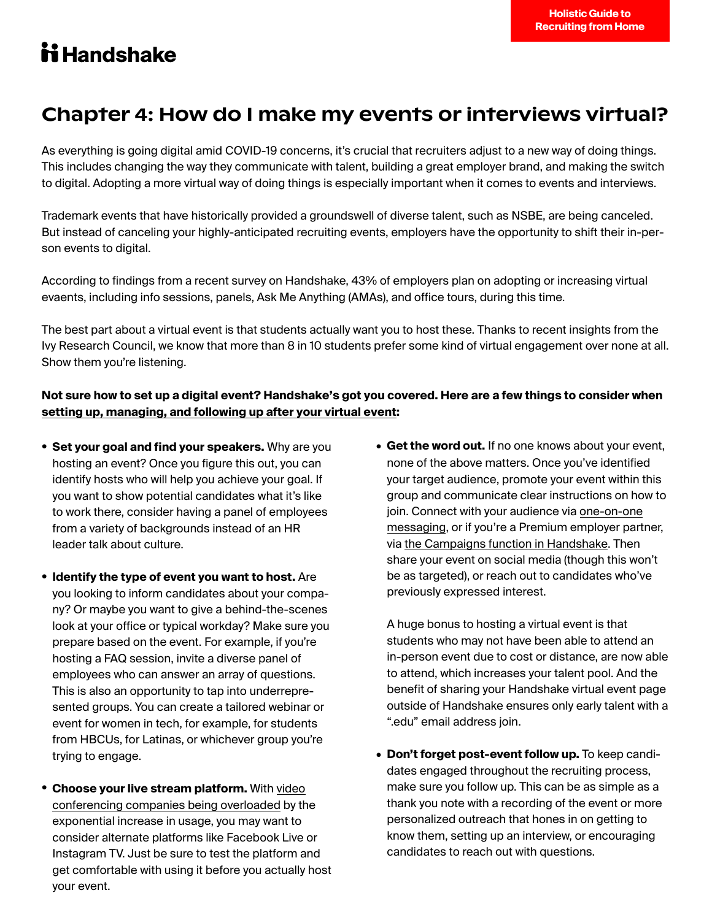### Chapter 4: How do I make my events or interviews virtual?

As everything is going digital amid COVID-19 concerns, it's crucial that recruiters adjust to a new way of doing things. This includes changing the way they communicate with talent, building a great employer brand, and making the switch to digital. Adopting a more virtual way of doing things is especially important when it comes to events and interviews.

Trademark events that have historically provided a groundswell of diverse talent, such as NSBE, are being canceled. But instead of canceling your highly-anticipated recruiting events, employers have the opportunity to shift their in-person events to digital.

According to findings from a recent survey on Handshake, 43% of employers plan on adopting or increasing virtual evaents, including info sessions, panels, Ask Me Anything (AMAs), and office tours, during this time.

The best part about a virtual event is that students actually want you to host these. Thanks to recent insights from the Ivy Research Council, we know that more than 8 in 10 students prefer some kind of virtual engagement over none at all. Show them you're listening.

#### **Not sure how to set up a digital event? Handshake's got you covered. Here are a few things to consider when [setting up, managing, and following up after your virtual event:](https://go.joinhandshake.com/rs/390-ZTF-353/images/HostingVirtualRecruitingEvents_Core.pdf?utm_source=resource%20center&utm_medium=web&utm_campaign=events_guide_core)**

- **Set your goal and find your speakers.** Why are you hosting an event? Once you figure this out, you can identify hosts who will help you achieve your goal. If you want to show potential candidates what it's like to work there, consider having a panel of employees from a variety of backgrounds instead of an HR leader talk about culture.
- **Identify the type of event you want to host.** Are you looking to inform candidates about your company? Or maybe you want to give a behind-the-scenes look at your office or typical workday? Make sure you prepare based on the event. For example, if you're hosting a FAQ session, invite a diverse panel of employees who can answer an array of questions. This is also an opportunity to tap into underrepresented groups. You can create a tailored webinar or event for women in tech, for example, for students from HBCUs, for Latinas, or whichever group you're trying to engage.
- **Choose your live stream platform.** With **[video](https://www.cnbc.com/2020/03/17/cisco-webex-sees-record-usage-during-coronavirus-expansion-like-zoom.html)** [conferencing companies being overloaded](https://www.cnbc.com/2020/03/17/cisco-webex-sees-record-usage-during-coronavirus-expansion-like-zoom.html) by the exponential increase in usage, you may want to consider alternate platforms like Facebook Live or Instagram TV. Just be sure to test the platform and get comfortable with using it before you actually host your event.

• **Get the word out.** If no one knows about your event, none of the above matters. Once you've identified your target audience, promote your event within this group and communicate clear instructions on how to join. Connect with your audience via [one-on-one](https://support.joinhandshake.com/hc/en-us/articles/218693318-How-to-Send-a-Student-a-Message) [messaging,](https://support.joinhandshake.com/hc/en-us/articles/218693318-How-to-Send-a-Student-a-Message) or if you're a Premium employer partner, via [the Campaigns function in Handshake.](https://support.joinhandshake.com/hc/en-us/articles/115013701707-How-to-Send-a-Job-or-Event-Campaign) Then share your event on social media (though this won't be as targeted), or reach out to candidates who've previously expressed interest.

A huge bonus to hosting a virtual event is that students who may not have been able to attend an in-person event due to cost or distance, are now able to attend, which increases your talent pool. And the benefit of sharing your Handshake virtual event page outside of Handshake ensures only early talent with a ".edu" email address join.

• **Don't forget post-event follow up.** To keep candidates engaged throughout the recruiting process, make sure you follow up. This can be as simple as a thank you note with a recording of the event or more personalized outreach that hones in on getting to know them, setting up an interview, or encouraging candidates to reach out with questions.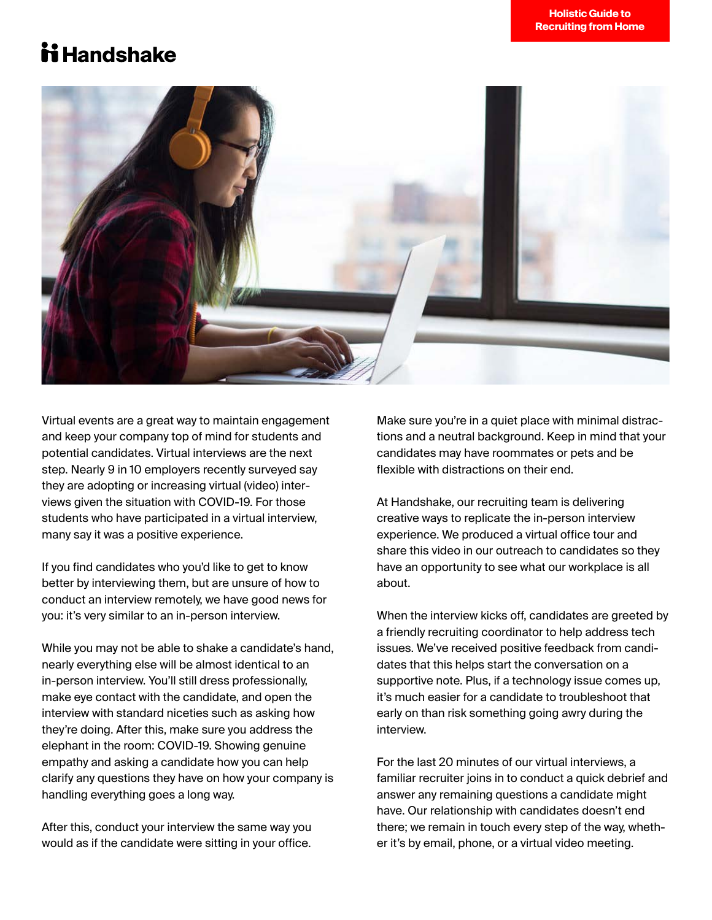

Virtual events are a great way to maintain engagement and keep your company top of mind for students and potential candidates. Virtual interviews are the next step. Nearly 9 in 10 employers recently surveyed say they are adopting or increasing virtual (video) interviews given the situation with COVID-19. For those students who have participated in a virtual interview, many say it was a positive experience.

If you find candidates who you'd like to get to know better by interviewing them, but are unsure of how to conduct an interview remotely, we have good news for you: it's very similar to an in-person interview.

While you may not be able to shake a candidate's hand, nearly everything else will be almost identical to an in-person interview. You'll still dress professionally, make eye contact with the candidate, and open the interview with standard niceties such as asking how they're doing. After this, make sure you address the elephant in the room: COVID-19. Showing genuine empathy and asking a candidate how you can help clarify any questions they have on how your company is handling everything goes a long way.

After this, conduct your interview the same way you would as if the candidate were sitting in your office. Make sure you're in a quiet place with minimal distractions and a neutral background. Keep in mind that your candidates may have roommates or pets and be flexible with distractions on their end.

At Handshake, our recruiting team is delivering creative ways to replicate the in-person interview experience. We produced a virtual office tour and share this video in our outreach to candidates so they have an opportunity to see what our workplace is all about.

When the interview kicks off, candidates are greeted by a friendly recruiting coordinator to help address tech issues. We've received positive feedback from candidates that this helps start the conversation on a supportive note. Plus, if a technology issue comes up, it's much easier for a candidate to troubleshoot that early on than risk something going awry during the interview.

For the last 20 minutes of our virtual interviews, a familiar recruiter joins in to conduct a quick debrief and answer any remaining questions a candidate might have. Our relationship with candidates doesn't end there; we remain in touch every step of the way, whether it's by email, phone, or a virtual video meeting.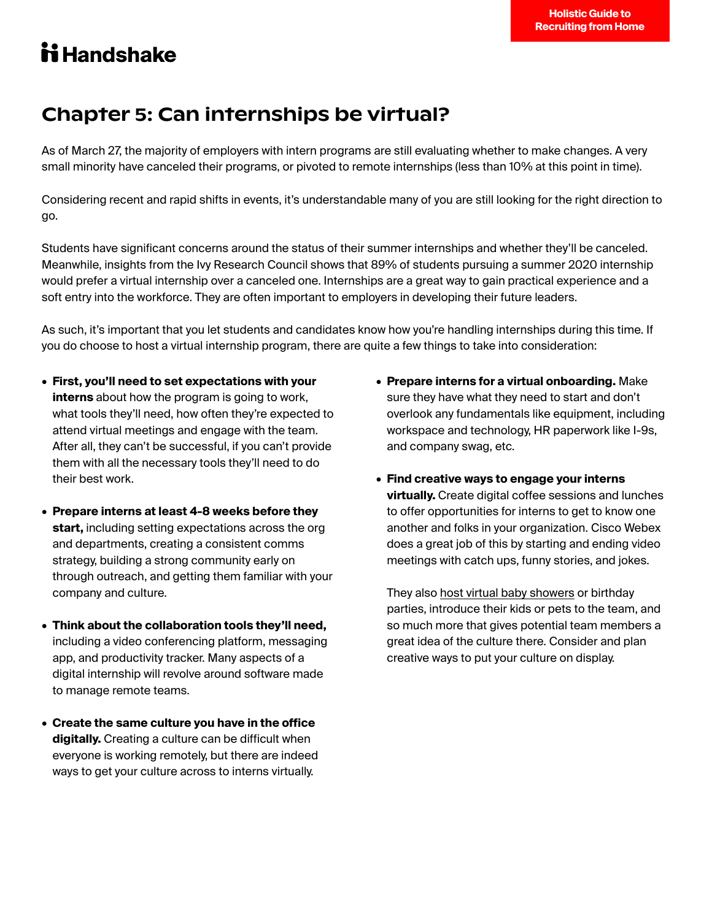### Chapter 5: Can internships be virtual?

As of March 27, the majority of employers with intern programs are still evaluating whether to make changes. A very small minority have canceled their programs, or pivoted to remote internships (less than 10% at this point in time).

Considering recent and rapid shifts in events, it's understandable many of you are still looking for the right direction to go.

Students have significant concerns around the status of their summer internships and whether they'll be canceled. Meanwhile, insights from the Ivy Research Council shows that 89% of students pursuing a summer 2020 internship would prefer a virtual internship over a canceled one. Internships are a great way to gain practical experience and a soft entry into the workforce. They are often important to employers in developing their future leaders.

As such, it's important that you let students and candidates know how you're handling internships during this time. If you do choose to host a virtual internship program, there are quite a few things to take into consideration:

- **First, you'll need to set expectations with your interns** about how the program is going to work, what tools they'll need, how often they're expected to attend virtual meetings and engage with the team. After all, they can't be successful, if you can't provide them with all the necessary tools they'll need to do their best work.
- **Prepare interns at least 4-8 weeks before they start,** including setting expectations across the org and departments, creating a consistent comms strategy, building a strong community early on through outreach, and getting them familiar with your company and culture.
- **Think about the collaboration tools they'll need,**  including a video conferencing platform, messaging app, and productivity tracker. Many aspects of a digital internship will revolve around software made to manage remote teams.
- **Create the same culture you have in the office digitally.** Creating a culture can be difficult when everyone is working remotely, but there are indeed ways to get your culture across to interns virtually.
- **Prepare interns for a virtual onboarding.** Make sure they have what they need to start and don't overlook any fundamentals like equipment, including workspace and technology, HR paperwork like I-9s, and company swag, etc.
- **Find creative ways to engage your interns virtually.** Create digital coffee sessions and lunches to offer opportunities for interns to get to know one another and folks in your organization. Cisco Webex does a great job of this by starting and ending video meetings with catch ups, funny stories, and jokes.

They also [host virtual baby showers o](https://blog.webex.com/?s=bridal+shower)r birthday parties, introduce their kids or pets to the team, and so much more that gives potential team members a great idea of the culture there. Consider and plan creative ways to put your culture on display.